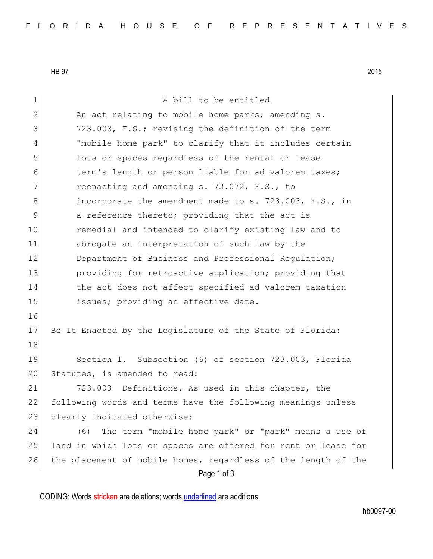HB 97 2015

Page 1 of 3 1 a bill to be entitled 2 An act relating to mobile home parks; amending s. 3 723.003, F.S.; revising the definition of the term 4 "mobile home park" to clarify that it includes certain 5 10 5 lots or spaces regardless of the rental or lease 6 term's length or person liable for ad valorem taxes; 7 reenacting and amending s. 73.072, F.S., to 8 incorporate the amendment made to s. 723.003, F.S., in 9 3 a reference thereto; providing that the act is 10 remedial and intended to clarify existing law and to 11 abrogate an interpretation of such law by the 12 Department of Business and Professional Regulation; 13 providing for retroactive application; providing that 14 the act does not affect specified ad valorem taxation 15 issues; providing an effective date. 16 17 Be It Enacted by the Legislature of the State of Florida: 18 19 Section 1. Subsection (6) of section 723.003, Florida 20 Statutes, is amended to read: 21 723.003 Definitions.—As used in this chapter, the 22 following words and terms have the following meanings unless 23 clearly indicated otherwise: 24 (6) The term "mobile home park" or "park" means a use of 25 land in which lots or spaces are offered for rent or lease for 26 the placement of mobile homes, regardless of the length of the

CODING: Words stricken are deletions; words underlined are additions.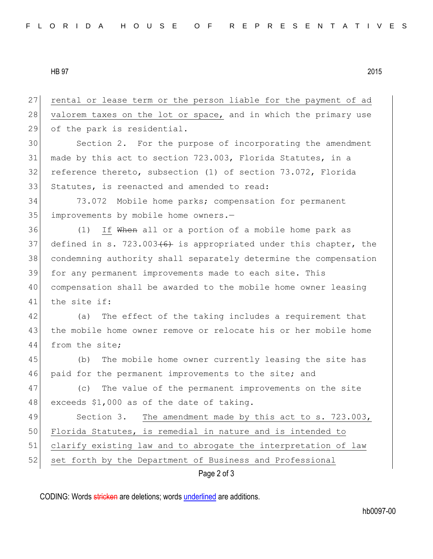HB 97 2015

Page 2 of 3 27 rental or lease term or the person liable for the payment of ad 28 valorem taxes on the lot or space, and in which the primary use 29 of the park is residential. 30 Section 2. For the purpose of incorporating the amendment 31 made by this act to section 723.003, Florida Statutes, in a 32 reference thereto, subsection (1) of section 73.072, Florida 33 Statutes, is reenacted and amended to read: 34 73.072 Mobile home parks; compensation for permanent 35 improvements by mobile home owners.-36 (1) If When all or a portion of a mobile home park as 37 defined in s. 723.003 $(6)$  is appropriated under this chapter, the 38 condemning authority shall separately determine the compensation 39 for any permanent improvements made to each site. This 40 compensation shall be awarded to the mobile home owner leasing 41 the site if: 42 (a) The effect of the taking includes a requirement that 43 the mobile home owner remove or relocate his or her mobile home 44 from the site; 45 (b) The mobile home owner currently leasing the site has 46 paid for the permanent improvements to the site; and 47 (c) The value of the permanent improvements on the site 48 exceeds \$1,000 as of the date of taking. 49 Section 3. The amendment made by this act to s. 723.003, 50 Florida Statutes, is remedial in nature and is intended to 51 clarify existing law and to abrogate the interpretation of law 52 set forth by the Department of Business and Professional

CODING: Words stricken are deletions; words underlined are additions.